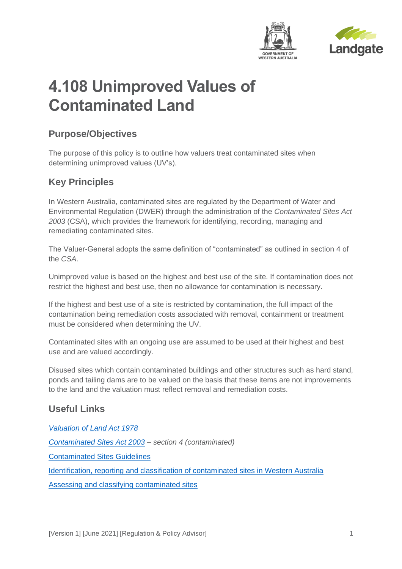



# **4.108 Unimproved Values of Contaminated Land**

## **Purpose/Objectives**

The purpose of this policy is to outline how valuers treat contaminated sites when determining unimproved values (UV's).

# **Key Principles**

In Western Australia, contaminated sites are regulated by the Department of Water and Environmental Regulation (DWER) through the administration of the *Contaminated Sites Act 2003* (CSA), which provides the framework for identifying, recording, managing and remediating contaminated sites.

The Valuer-General adopts the same definition of "contaminated" as outlined in section 4 of the *CSA*.

Unimproved value is based on the highest and best use of the site. If contamination does not restrict the highest and best use, then no allowance for contamination is necessary.

If the highest and best use of a site is restricted by contamination, the full impact of the contamination being remediation costs associated with removal, containment or treatment must be considered when determining the UV.

Contaminated sites with an ongoing use are assumed to be used at their highest and best use and are valued accordingly.

Disused sites which contain contaminated buildings and other structures such as hard stand, ponds and tailing dams are to be valued on the basis that these items are not improvements to the land and the valuation must reflect removal and remediation costs.

#### **Useful Links**

*[Valuation of Land Act 1978](https://www.legislation.wa.gov.au/legislation/statutes.nsf/law_a853.html) [Contaminated Sites Act 2003](https://www.legislation.wa.gov.au/legislation/statutes.nsf/law_a6987.html) – section 4 (contaminated)*

[Contaminated Sites Guidelines](https://www.der.wa.gov.au/your-environment/contaminated-sites/61-contaminated-sites-guidelines)

[Identification, reporting and classification of contaminated sites in Western Australia](https://www.der.wa.gov.au/images/your-environment/contaminated-sites/Guideline_ID_Reporting_and_Classification.pdf)

[Assessing and classifying contaminated sites](https://www.der.wa.gov.au/your-environment/contaminated-sites/276-assessing-and-classifying-contaminated-sites)